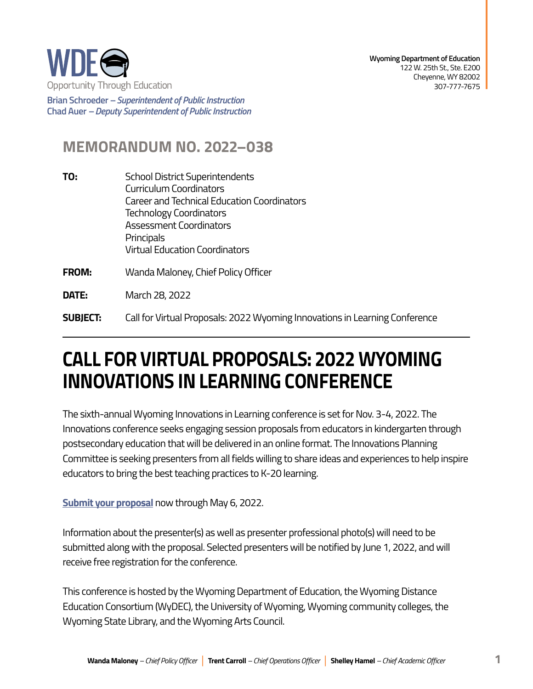

**Brian Schroeder –***Superintendent of Public Instruction*  **Chad Auer** *– Deputy Superintendent of Public Instruction* 

## **MEMORANDUM NO. 2022–038**

- **TO:** School District Superintendents Curriculum Coordinators Career and Technical Education Coordinators Technology Coordinators Assessment Coordinators Principals Virtual Education Coordinators
- **FROM:** Wanda Maloney, Chief Policy Officer
- **DATE:** March 28, 2022
- **SUBJECT:** Call for Virtual Proposals: 2022 Wyoming Innovations in Learning Conference

## **CALL FOR VIRTUAL PROPOSALS: 2022 WYOMING INNOVATIONS IN LEARNING CONFERENCE**

The sixth-annual Wyoming Innovations in Learning conference is set for Nov. 3-4, 2022. The Innovations conference seeks engaging session proposals from educators in kindergarten through postsecondary education that will be delivered in an online format. The Innovations Planning Committee is seeking presenters from all fields willing to share ideas and experiences to help inspire educators to bring the best teaching practices to K-20 learning.

**[Submit your proposal](https://form.jotform.com/220613598780058)** now through May 6, 2022.

Information about the presenter(s) as well as presenter professional photo(s) will need to be submitted along with the proposal. Selected presenters will be notified by June 1, 2022, and will receive free registration for the conference.

This conference is hosted by the Wyoming Department of Education, the Wyoming Distance Education Consortium (WyDEC), the University of Wyoming, Wyoming community colleges, the Wyoming State Library, and the Wyoming Arts Council.